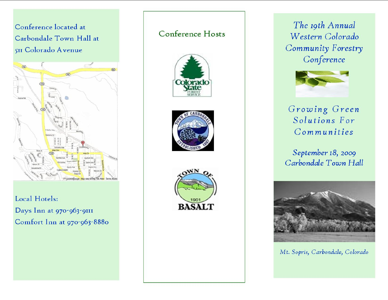Conference located at Carbondale Town Hall at 5II Colorado Avenue



Local Hotels: Days Inn at 970-963-9111 Comfort Inn at 970-963-8880

## **Conference Hosts**







The 19th Annual Western Colorado Community Forestry Conference



## Growing Green Solutions For Communities

September 18, 2009 Carbondale Town Hall



Mt. Sopris, Carbondale, Colorado